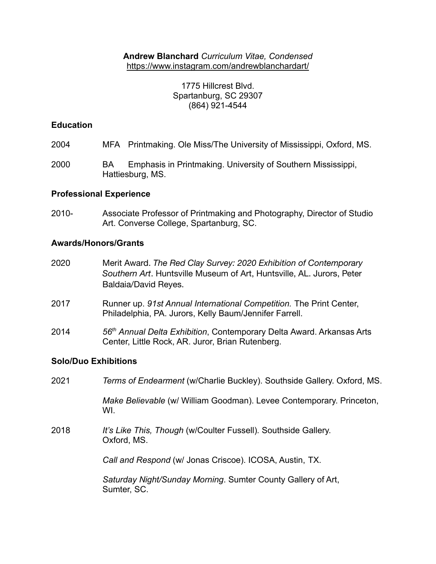**Andrew Blanchard** *Curriculum Vitae, Condensed* <https://www.instagram.com/andrewblanchardart/>

> 1775 Hillcrest Blvd. Spartanburg, SC 29307 (864) 921-4544

## **Education**

- 2004 MFA Printmaking. Ole Miss/The University of Mississippi, Oxford, MS.
- 2000 BA Emphasis in Printmaking. University of Southern Mississippi, Hattiesburg, MS.

### **Professional Experience**

2010- Associate Professor of Printmaking and Photography, Director of Studio Art. Converse College, Spartanburg, SC.

### **Awards/Honors/Grants**

- 2020 Merit Award. *The Red Clay Survey: 2020 Exhibition of Contemporary Southern Art*. Huntsville Museum of Art, Huntsville, AL. Jurors, Peter Baldaia/David Reyes.
- 2017 Runner up. *91st Annual International Competition.* The Print Center, Philadelphia, PA. Jurors, Kelly Baum/Jennifer Farrell.
- 2014 *56th Annual Delta Exhibition*, Contemporary Delta Award. Arkansas Arts Center, Little Rock, AR. Juror, Brian Rutenberg.

### **Solo/Duo Exhibitions**

2021 *Terms of Endearment* (w/Charlie Buckley). Southside Gallery. Oxford, MS.

*Make Believable* (w/ William Goodman). Levee Contemporary. Princeton, WI.

2018 *It's Like This, Though* (w/Coulter Fussell)*.* Southside Gallery. Oxford, MS.

*Call and Respond* (w/ Jonas Criscoe). ICOSA, Austin, TX.

*Saturday Night/Sunday Morning*. Sumter County Gallery of Art, Sumter, SC.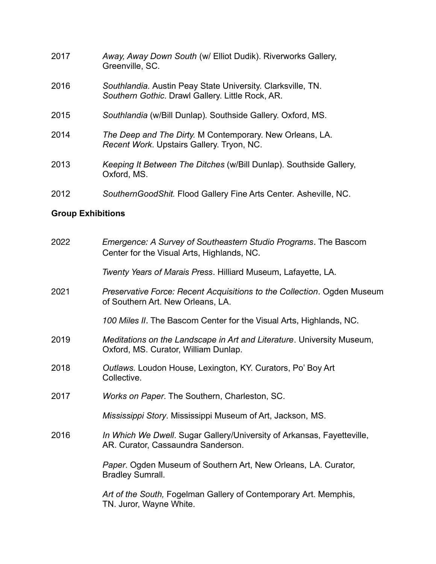| 2017 | Away, Away Down South (w/ Elliot Dudik). Riverworks Gallery,<br>Greenville, SC.                                 |
|------|-----------------------------------------------------------------------------------------------------------------|
| 2016 | Southlandia. Austin Peay State University. Clarksville, TN.<br>Southern Gothic. Drawl Gallery. Little Rock, AR. |
| 2015 | Southlandia (w/Bill Dunlap). Southside Gallery. Oxford, MS.                                                     |
| 2014 | The Deep and The Dirty. M Contemporary. New Orleans, LA.<br>Recent Work. Upstairs Gallery. Tryon, NC.           |
| 2013 | Keeping It Between The Ditches (w/Bill Dunlap). Southside Gallery,<br>Oxford, MS.                               |

2012 *SouthernGoodShit.* Flood Gallery Fine Arts Center. Asheville, NC.

# **Group Exhibitions**

| 2022 | Emergence: A Survey of Southeastern Studio Programs. The Bascom<br>Center for the Visual Arts, Highlands, NC.  |
|------|----------------------------------------------------------------------------------------------------------------|
|      | Twenty Years of Marais Press. Hilliard Museum, Lafayette, LA.                                                  |
| 2021 | Preservative Force: Recent Acquisitions to the Collection. Ogden Museum<br>of Southern Art. New Orleans, LA.   |
|      | 100 Miles II. The Bascom Center for the Visual Arts, Highlands, NC.                                            |
| 2019 | Meditations on the Landscape in Art and Literature. University Museum,<br>Oxford, MS. Curator, William Dunlap. |
| 2018 | Outlaws. Loudon House, Lexington, KY. Curators, Po' Boy Art<br>Collective.                                     |
| 2017 | Works on Paper. The Southern, Charleston, SC.                                                                  |
|      | Mississippi Story. Mississippi Museum of Art, Jackson, MS.                                                     |
| 2016 | In Which We Dwell. Sugar Gallery/University of Arkansas, Fayetteville,<br>AR. Curator, Cassaundra Sanderson.   |
|      | Paper. Ogden Museum of Southern Art, New Orleans, LA. Curator,<br><b>Bradley Sumrall.</b>                      |
|      | Art of the South, Fogelman Gallery of Contemporary Art. Memphis,<br>TN. Juror, Wayne White.                    |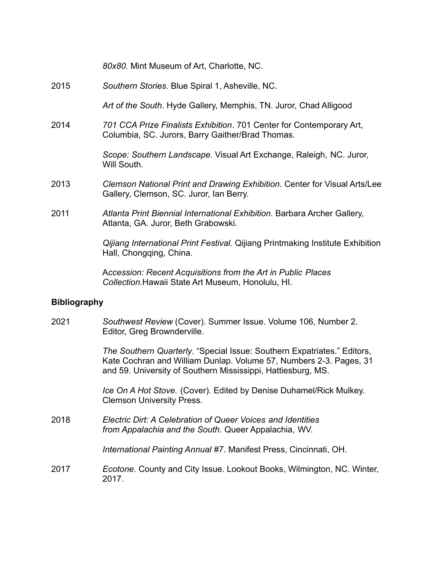*80x80.* Mint Museum of Art, Charlotte, NC.

2015 *Southern Stories*. Blue Spiral 1, Asheville, NC.

*Art of the South*. Hyde Gallery, Memphis, TN. Juror, Chad Alligood

2014 *701 CCA Prize Finalists Exhibition*. 701 Center for Contemporary Art, Columbia, SC. Jurors, Barry Gaither/Brad Thomas.

> *Scope: Southern Landscape.* Visual Art Exchange, Raleigh, NC. Juror, Will South.

- 2013 *Clemson National Print and Drawing Exhibition*. Center for Visual Arts/Lee Gallery, Clemson, SC. Juror, Ian Berry.
- 2011 *Atlanta Print Biennial International Exhibition*. Barbara Archer Gallery, Atlanta, GA. Juror, Beth Grabowski.

*Qijiang International Print Festival.* Qijiang Printmaking Institute Exhibition Hall, Chongqing, China.

A*ccession: Recent Acquisitions from the Art in Public Places Collection.*Hawaii State Art Museum, Honolulu, HI.

### **Bibliography**

2021 *Southwest Review* (Cover). Summer Issue. Volume 106, Number 2. Editor, Greg Brownderville.

> *The Southern Quarterly*. "Special Issue: Southern Expatriates." Editors, Kate Cochran and William Dunlap. Volume 57, Numbers 2-3. Pages, 31 and 59. University of Southern Mississippi, Hattiesburg, MS.

*Ice On A Hot Stove.* (Cover). Edited by Denise Duhamel/Rick Mulkey. Clemson University Press.

2018 *Electric Dirt: A Celebration of Queer Voices and Identities from Appalachia and the South.* Queer Appalachia, WV.

*International Painting Annual #7*. Manifest Press, Cincinnati, OH.

2017 *Ecotone*. County and City Issue. Lookout Books, Wilmington, NC. Winter, 2017.